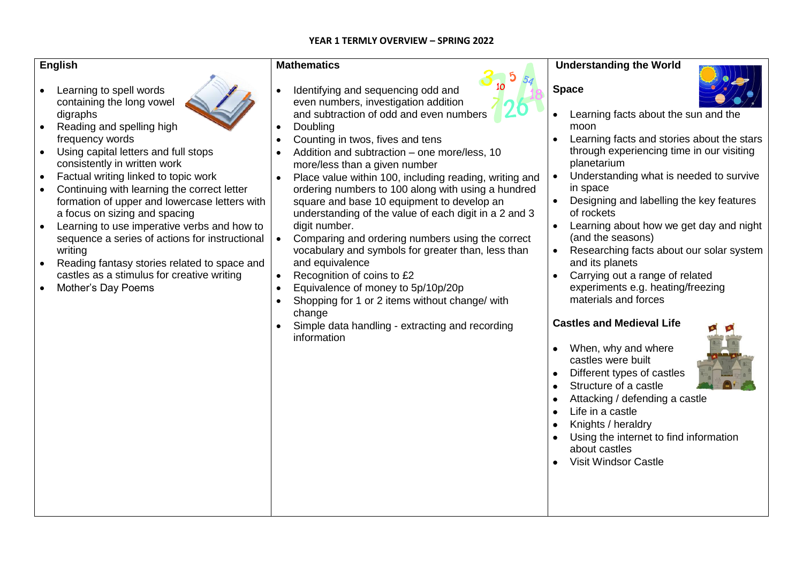#### **YEAR 1 TERMLY OVERVIEW – SPRING 2022**

#### **English**

- Learning to spell words containing the long vowel digraphs
- Reading and spelling high frequency words
- Using capital letters and full stops consistently in written work
- Factual writing linked to topic work
- Continuing with learning the correct letter formation of upper and lowercase letters with a focus on sizing and spacing
- Learning to use imperative verbs and how to sequence a series of actions for instructional writing
- Reading fantasy stories related to space and castles as a stimulus for creative writing
- Mother's Day Poems

### **Mathematics**

- Identifying and sequencing odd and even numbers, investigation addition and subtraction of odd and even numbers
- Doubling
- Counting in twos, fives and tens
- Addition and subtraction one more/less, 10 more/less than a given number
- Place value within 100, including reading, writing and ordering numbers to 100 along with using a hundred square and base 10 equipment to develop an understanding of the value of each digit in a 2 and 3 digit number.
- Comparing and ordering numbers using the correct vocabulary and symbols for greater than, less than and equivalence
- Recognition of coins to £2
- Equivalence of money to 5p/10p/20p
- Shopping for 1 or 2 items without change/ with change
- Simple data handling extracting and recording information



**Space**



- Learning facts about the sun and the moon
- Learning facts and stories about the stars through experiencing time in our visiting planetarium
- Understanding what is needed to survive in space
- Designing and labelling the key features of rockets
- Learning about how we get day and night (and the seasons)
- Researching facts about our solar system and its planets
- Carrying out a range of related experiments e.g. heating/freezing materials and forces

## **Castles and Medieval Life**

- When, why and where castles were built
- Different types of castles
- Structure of a castle
- Attacking / defending a castle
- Life in a castle
- Knights / heraldry
- Using the internet to find information about castles
- Visit Windsor Castle